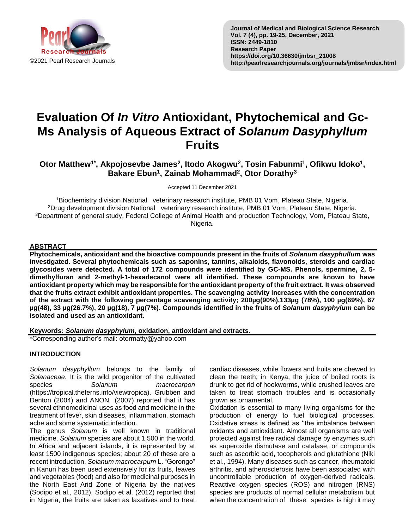

# **Evaluation Of** *In Vitro* **Antioxidant, Phytochemical and Gc-Ms Analysis of Aqueous Extract of** *Solanum Dasyphyllum*  **Fruits**

**Otor Matthew1\* , Akpojosevbe James<sup>2</sup> , Itodo Akogwu<sup>2</sup> , Tosin Fabunmi<sup>1</sup> , Ofikwu Idoko<sup>1</sup> , Bakare Ebun<sup>1</sup> , Zainab Mohammad 2 , Otor Dorathy<sup>3</sup>**

Accepted 11 December 2021

Biochemistry division National veterinary research institute, PMB 01 Vom, Plateau State, Nigeria. Drug development division National veterinary research institute, PMB 01 Vom, Plateau State, Nigeria. Department of general study, Federal College of Animal Health and production Technology, Vom, Plateau State, Nigeria.

## **ABSTRACT**

**Phytochemicals, antioxidant and the bioactive compounds present in the fruits of** *Solanum dasyphullum* **was investigated. Several phytochemicals such as saponins, tannins, alkaloids, flavonoids, steroids and cardiac glycosides were detected. A total of 172 compounds were identified by GC-MS. Phenols, spermine, 2, 5 dimethylfuran and 2-methyl-1-hexadecanol were all identified. These compounds are known to have antioxidant property which may be responsible for the antioxidant property of the fruit extract. It was observed that the fruits extract exhibit antioxidant properties. The scavenging activity increases with the concentration of the extract with the following percentage scavenging activity; 200µg(90%),133µg (78%), 100 µg(69%), 67 µg(48), 33 µg(26.7%), 20 µg(18), 7 µg(7%). Compounds identified in the fruits of** *Solanum dasyphylum* **can be isolated and used as an antioxidant.**

**Keywords:** *Solanum dasyphylum***, oxidation, antioxidant and extracts.**

\*Corresponding author's mail: otormatty@yahoo.com

# **INTRODUCTION**

*Solanum dasyphyllum* belongs to the family of *Solanaceae*. It is the wild progenitor of the cultivated species *Solanum macrocarpon* (https://tropical.theferns.info/viewtropica). Grubben and Denton (2004) and ANON (2007) reported that it has several ethnomedicinal uses as food and medicine in the treatment of fever, skin diseases, inflammation, stomach ache and some systematic infection.

The genus *Solanum* is well known in traditional medicine. *Solanum* species are about 1,500 in the world. In Africa and adjacent islands, it is represented by at least 1500 indigenous species; about 20 of these are a recent introduction. *Solanum macrocarpum* L. "Gorongo" in Kanuri has been used extensively for its fruits, leaves and vegetables (food) and also for medicinal purposes in the North East Arid Zone of Nigeria by the natives (Sodipo et al., 2012). Sodipo et al. (2012) reported that in Nigeria, the fruits are taken as laxatives and to treat cardiac diseases, while flowers and fruits are chewed to clean the teeth; in Kenya, the juice of boiled roots is drunk to get rid of hookworms, while crushed leaves are taken to treat stomach troubles and is occasionally grown as ornamental.

Oxidation is essential to many living organisms for the production of energy to fuel biological processes. Oxidative stress is defined as ''the imbalance between oxidants and antioxidant. Almost all organisms are well protected against free radical damage by enzymes such as superoxide dismutase and catalase, or compounds such as ascorbic acid, tocopherols and glutathione (Niki et al., 1994). Many diseases such as cancer, rheumatoid arthritis, and atherosclerosis have been associated with uncontrollable production of oxygen-derived radicals. Reactive oxygen species (ROS) and nitrogen (RNS) species are products of normal cellular metabolism but when the concentration of these species is high it may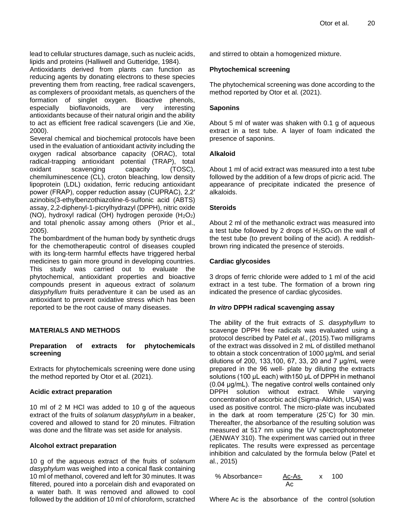lead to cellular structures damage, such as nucleic acids, lipids and proteins (Halliwell and Gutteridge, 1984).

Antioxidants derived from plants can function as reducing agents by donating electrons to these species preventing them from reacting, free radical scavengers, as complexers of prooxidant metals, as quenchers of the formation of singlet oxygen. Bioactive phenols, especially bioflavonoids, are very interesting antioxidants because of their natural origin and the ability to act as efficient free radical scavengers (Lie and Xie, 2000).

Several chemical and biochemical protocols have been used in the evaluation of antioxidant activity including the oxygen radical absorbance capacity (ORAC), total radical-trapping antioxidant potential (TRAP), total oxidant scavenging capacity (TOSC), chemiluminescence (CL), croton bleaching, low density lipoprotein (LDL) oxidation, ferric reducing antioxidant power (FRAP), copper reduction assay (CUPRAC), 2,2′ azinobis(3-ethylbenzothiazoline-6-sulfonic acid (ABTS) assay, 2,2-diphenyl-1-picrylhydrazyl (DPPH), nitric oxide (NO), hydroxyl radical (OH) hydrogen peroxide  $(H_2O_2)$ and total phenolic assay among others (Prior et al., 2005).

The bombardment of the human body by synthetic drugs for the chemotherapeutic control of diseases coupled with its long-term harmful effects have triggered herbal medicines to gain more ground in developing countries. This study was carried out to evaluate the phytochemical, antioxidant properties and bioactive compounds present in aqueous extract of *solanum dasyphyllum* fruits peradventure it can be used as an antioxidant to prevent oxidative stress which has been reported to be the root cause of many diseases.

## **MATERIALS AND METHODS**

## **Preparation of extracts for phytochemicals screening**

Extracts for phytochemicals screening were done using the method reported by Otor et al. (2021).

#### **Acidic extract preparation**

10 ml of 2 M HCl was added to 10 g of the aqueous extract of the fruits of *solanum dasyphylum* in a beaker, covered and allowed to stand for 20 minutes. Filtration was done and the filtrate was set aside for analysis.

#### **Alcohol extract preparation**

10 g of the aqueous extract of the fruits of *solanum dasyphylum* was weighed into a conical flask containing 10 ml of methanol, covered and left for 30 minutes. It was filtered, poured into a porcelain dish and evaporated on a water bath. It was removed and allowed to cool followed by the addition of 10 ml of chloroform, scratched and stirred to obtain a homogenized mixture.

## **Phytochemical screening**

The phytochemical screening was done according to the method reported by Otor et al. (2021).

#### **Saponins**

About 5 ml of water was shaken with 0.1 g of aqueous extract in a test tube. A layer of foam indicated the presence of saponins.

#### **Alkaloid**

About 1 ml of acid extract was measured into a test tube followed by the addition of a few drops of picric acid. The appearance of precipitate indicated the presence of alkaloids.

## **Steroids**

About 2 ml of the methanolic extract was measured into a test tube followed by 2 drops of  $H<sub>2</sub>SO<sub>4</sub>$  on the wall of the test tube (to prevent boiling of the acid). A reddishbrown ring indicated the presence of steroids.

## **Cardiac glycosides**

3 drops of ferric chloride were added to 1 ml of the acid extract in a test tube. The formation of a brown ring indicated the presence of cardiac glycosides.

## *In vitro* **DPPH radical scavenging assay**

The ability of the fruit extracts of *S. dasyphyllum* to scavenge DPPH free radicals was evaluated using a protocol described by Patel *et al*., (2015).Two milligrams of the extract was dissolved in 2 mL of distilled methanol to obtain a stock concentration of 1000 µg/mL and serial dilutions of 200, 133,100, 67, 33, 20 and 7 μg/mL were prepared in the 96 well- plate by diluting the extracts solutions (100 μL each) with150 μL of DPPH in methanol (0.04 μg/mL). The negative control wells contained only DPPH solution without extract. While varying concentration of ascorbic acid (Sigma-Aldrich, USA) was used as positive control. The micro-plate was incubated in the dark at room temperature (25˚C) for 30 min. Thereafter, the absorbance of the resulting solution was measured at 517 nm using the UV spectrophotometer (JENWAY 310). The experiment was carried out in three replicates. The results were expressed as percentage inhibition and calculated by the formula below (Patel et al., 2015)

% Absorbance=
$$
\frac{Ac-As}{Ac}
$$
 x 100

Where Ac is the absorbance of the control (solution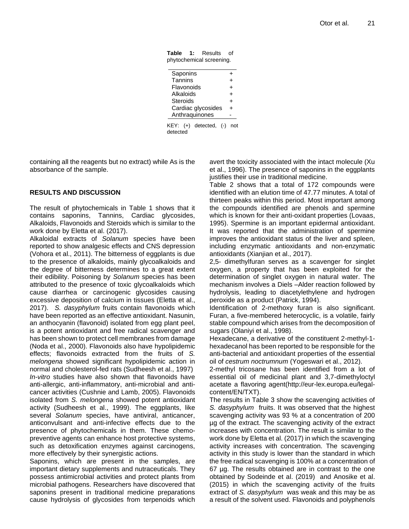**Table 1:** Results of phytochemical screening.

| Saponins               | +         |
|------------------------|-----------|
| Tannins                | ÷         |
| Flavonoids             | $\ddot{}$ |
| Alkaloids              | $\ddot{}$ |
| Steroids               | $\ddot{}$ |
| Cardiac glycosides     | +         |
| Anthraquinones         |           |
| KEY: (+) detected, (-) |           |

k, (-) detected

containing all the reagents but no extract) while As is the absorbance of the sample.

## **RESULTS AND DISCUSSION**

The result of phytochemicals in Table 1 shows that it contains saponins, Tannins, Cardiac glycosides, Alkaloids, Flavonoids and Steroids which is similar to the work done by Eletta et al. (2017).

Alkaloidal extracts of *Solanum* species have been reported to show analgesic effects and CNS depression (Vohora et al., 2011). The bitterness of eggplants is due to the presence of alkaloids, mainly glycoalkaloids and the degree of bitterness determines to a great extent their edibility. Poisoning by *Solanum* species has been attributed to the presence of toxic glycoalkaloids which cause diarrhea or carcinogenic glycosides causing excessive deposition of calcium in tissues (Eletta et al., 2017). *S. dasyphylum* fruits contain flavonoids which have been reported as an effective antioxidant. Nasunin, an anthocyanin (flavonoid) isolated from egg plant peel, is a potent antioxidant and free radical scavenger and has been shown to protect cell membranes from damage (Noda et al., 2000). Flavonoids also have hypolipidemic effects; flavonoids extracted from the fruits of *S. melongena* showed significant hypolipidemic action in normal and cholesterol-fed rats (Sudheesh et al., 1997) *In-vitro* studies have also shown that flavonoids have anti-allergic, anti-inflammatory, anti-microbial and anticancer activities (Cushnie and Lamb, 2005). Flavonoids isolated from *S. melongena* showed potent antioxidant activity (Sudheesh et al., 1999). The eggplants, like several *Solanum* species, have antiviral, anticancer, anticonvulsant and anti-infective effects due to the presence of phytochemicals in them. These chemopreventive agents can enhance host protective systems, such as detoxification enzymes against carcinogens, more effectively by their synergistic actions.

Saponins, which are present in the samples, are important dietary supplements and nutraceuticals. They possess antimicrobial activities and protect plants from microbial pathogens. Researchers have discovered that saponins present in traditional medicine preparations cause hydrolysis of glycosides from terpenoids which

avert the toxicity associated with the intact molecule (Xu et al., 1996). The presence of saponins in the eggplants justifies their use in traditional medicine.

Table 2 shows that a total of 172 compounds were identified with an elution time of 47.77 minutes. A total of thirteen peaks within this period. Most important among the compounds identified are phenols and spermine which is known for their anti-oxidant properties (Lovaas, 1995). Spermine is an important epidermal antioxidant. It was reported that the administration of spermine improves the antioxidant status of the liver and spleen, including enzymatic antioxidants and non-enzymatic antioxidants (Xianjian et al., 2017).

2,5- dimethylfuran serves as a scavenger for singlet oxygen, a property that has been exploited for the determination of singlet oxygen in natural water. The mechanism involves a Diels –Alder reaction followed by hydrolysis, leading to diacetylethylene and hydrogen peroxide as a product (Patrick, 1994).

Identification of 2-methoxy furan is also significant. Furan, a five-membered heterocyclic, is a volatile, fairly stable compound which arises from the decomposition of sugars (Olaniyi et al., 1998).

Hexadecane, a derivative of the constituent 2-methyl-1 hexadecanol has been reported to be responsible for the anti-bacterial and antioxidant properties of the essential oil of *cestrum noctrumnum* (Yogeswari et al., 2012).

2-methyl tricosane has been identified from a lot of essential oil of medicinal plant and 3,7-dimethyloctyl acetate a flavoring agent(http://eur-lex.europa.eu/legalcontent/EN/TXT).

The results in Table 3 show the scavenging activities of *S. dasyphylum* fruits. It was observed that the highest scavenging activity was 93 % at a concentration of 200 µg of the extract. The scavenging activity of the extract increases with concentration. The result is similar to the work done by Eletta et al. (2017) in which the scavenging activity increases with concentration. The scavenging activity in this study is lower than the standard in which the free radical scavenging is 100% at a concentration of 67 µg. The results obtained are in contrast to the one obtained by Sodeinde et al. (2019) and Anosike et al. (2015) in which the scavenging activity of the fruits extract of *S. dasyphylum* was weak and this may be as a result of the solvent used. Flavonoids and polyphenols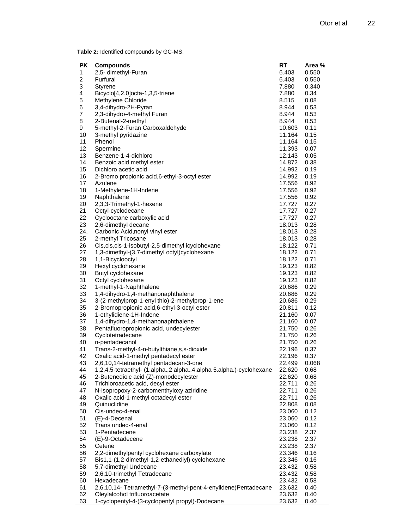**Table 2:** Identified compounds by GC-MS.

| PK                      | <b>Compounds</b>                                                     | RT               | Area %       |
|-------------------------|----------------------------------------------------------------------|------------------|--------------|
| $\mathbf{1}$            | 2,5- dimethyl-Furan                                                  | 6.403            | 0.550        |
| $\overline{\mathbf{c}}$ | Furfural                                                             | 6.403            | 0.550        |
| 3                       | Styrene                                                              | 7.880            | 0.340        |
| 4                       | Bicyclo[4,2,0]octa-1,3,5-triene                                      | 7.880            | 0.34         |
| 5                       | Methylene Chloride                                                   | 8.515            | 0.08         |
| 6                       | 3,4-dihydro-2H-Pyran                                                 | 8.944            | 0.53         |
| 7                       | 2,3-dihydro-4-methyl Furan                                           | 8.944            | 0.53         |
| 8                       | 2-Butenal-2-methyl                                                   | 8.944            | 0.53         |
| 9                       | 5-methyl-2-Furan Carboxaldehyde                                      | 10.603           | 0.11         |
| 10                      | 3-methyl pyridazine                                                  | 11.164           | 0.15         |
| 11                      | Phenol                                                               | 11.164           | 0.15         |
| 12                      | Spermine                                                             | 11.393           | 0.07         |
| 13                      | Benzene-1-4-dichloro                                                 | 12.143           | 0.05         |
| 14                      | Benzoic acid methyl ester                                            | 14.872           | 0.38         |
| 15                      | Dichloro acetic acid                                                 | 14.992           | 0.19         |
| 16                      | 2-Bromo propionic acid, 6-ethyl-3-octyl ester                        | 14.992           | 0.19         |
| 17                      | Azulene                                                              | 17.556           | 0.92         |
|                         |                                                                      |                  |              |
| 18                      | 1-Methylene-1H-Indene                                                | 17.556<br>17.556 | 0.92         |
| 19                      | Naphthalene                                                          |                  | 0.92         |
| 20                      | 2,3,3-Trimethyl-1-hexene                                             | 17.727           | 0.27<br>0.27 |
| 21                      | Octyl-cyclodecane                                                    | 17.727           |              |
| 22                      | Cyclooctane carboxylic acid                                          | 17.727           | 0.27         |
| 23                      | 2,6-dimethyl decane                                                  | 18.013           | 0.28         |
| 24.                     | Carbonic Acid, nonyl vinyl ester                                     | 18.013           | 0.28         |
| 25                      | 2-methyl Tricosane                                                   | 18.013           | 0.28         |
| 26                      | Cis, cis, cis-1-isobutyl-2, 5-dimethyl icyclohexane                  | 18.122           | 0.71         |
| 27                      | 1,3-dimethyl-(3,7-dimethyl octyl)cyclohexane                         | 18.122           | 0.71         |
| 28                      | 1,1-Bicyclooctyl                                                     | 18.122           | 0.71         |
| 29                      | Hexyl cyclohexane                                                    | 19.123           | 0.82         |
| 30                      | Butyl cyclohexane                                                    | 19.123           | 0.82         |
| 31                      | Octyl cyclohexane                                                    | 19.123           | 0.82         |
| 32                      | 1-methyl-1-Naphthalene                                               | 20.686           | 0.29         |
| 33                      | 1,4-dihydro-1,4-methanonaphthalene                                   | 20.686           | 0.29         |
| 34                      | 3-(2-methylprop-1-enyl thio)-2-methylprop-1-ene                      | 20.686           | 0.29         |
| 35                      | 2-Bromopropionic acid, 6-ethyl-3-octyl ester                         | 20.811           | 0.12         |
| 36                      | 1-ethylidiene-1H-Indene                                              | 21.160           | 0.07         |
| 37                      | 1,4-dihydro-1,4-methanonaphthalene                                   | 21.160           | 0.07         |
| 38                      | Pentafluoropropionic acid, undecylester                              | 21.750           | 0.26         |
| 39                      | Cyclotetradecane                                                     | 21.750           | 0.26         |
| 40                      | n-pentadecanol                                                       | 21.750           | 0.26         |
| 41                      | Trans-2-methyl-4-n-butylthiane,s,s-dioxide                           | 22.196           | 0.37         |
| 42                      | Oxalic acid-1-methyl pentadecyl ester                                | 22.196           | 0.37         |
| 43                      | 2,6,10,14-tetramethyl pentadecan-3-one                               | 22.499           | 0.068        |
| 44                      | 1,2,4,5-tetraethyl- (1.alpha.,2 alpha.,4.alpha 5.alpha.)-cyclohexane | 22.620           | 0.68         |
| 45                      | 2-Butenedioic acid (Z)-monodecylester                                | 22.620           | 0.68         |
| 46                      | Trichloroacetic acid, decyl ester                                    | 22.711           | 0.26         |
| 47                      | N-isopropoxy-2-carbomenthyloxy aziridine                             | 22.711           | 0.26         |
| 48                      | Oxalic acid-1-methyl octadecyl ester                                 | 22.711           | 0.26         |
| 49                      | Quinuclidine                                                         | 22.808           | 0.08         |
| 50                      | Cis-undec-4-enal                                                     | 23.060           | 0.12         |
| 51                      | (E)-4-Decenal                                                        | 23.060           | 0.12         |
| 52                      | Trans undec-4-enal                                                   | 23.060           | 0.12         |
| 53                      | 1-Pentadecene                                                        | 23.238           | 2.37         |
| 54                      | (E)-9-Octadecene                                                     | 23.238           | 2.37         |
| 55                      | Cetene                                                               | 23.238           | 2.37         |
| 56                      | 2,2-dimethylpentyl cyclohexane carboxylate                           | 23.346           | 0.16         |
| 57                      | Bis1,1-(1,2-dimethyl-1,2-ethanediyl) cyclohexane                     | 23.346           | 0.16         |
| 58                      | 5,7-dimethyl Undecane                                                | 23.432           | 0.58         |
| 59                      | 2,6,10-trimethyl Tetradecane                                         | 23.432           | 0.58         |
| 60                      | Hexadecane                                                           | 23.432           | 0.58         |
| 61                      | 2,6,10,14- Tetramethyl-7-(3-methyl-pent-4-enylidene)Pentadecane      | 23.632           | 0.40         |
| 62                      | Oleylalcohol trifluoroacetate                                        | 23.632           | 0.40         |
| 63                      | 1-cyclopentyl-4-(3-cyclopentyl propyl)-Dodecane                      | 23.632           | 0.40         |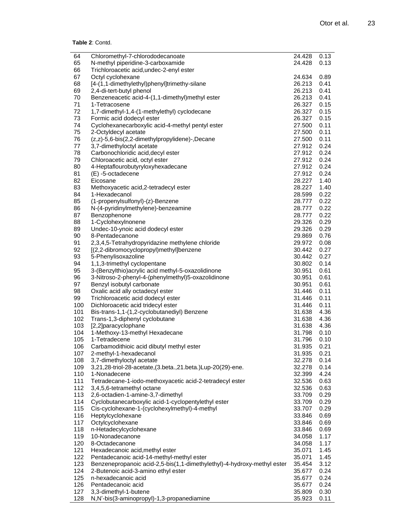```
Table 2: Contd.
```

| 64  | Chloromethyl-7-chlorododecanoate                                        | 24.428 | 0.13 |
|-----|-------------------------------------------------------------------------|--------|------|
| 65  | N-methyl piperidine-3-carboxamide                                       | 24.428 | 0.13 |
| 66  | Trichloroacetic acid, undec-2-enyl ester                                |        |      |
| 67  | Octyl cyclohexane                                                       | 24.634 | 0.89 |
| 68  | [4-(1,1-dimethylethyl)phenyl]trimethy-silane                            | 26.213 | 0.41 |
| 69  | 2,4-di-tert-butyl phenol                                                | 26.213 | 0.41 |
| 70  | Benzeneacetic acid-4-(1,1-dimethyl)methyl ester                         | 26.213 | 0.41 |
| 71  | 1-Tetracosene                                                           | 26.327 | 0.15 |
| 72  | 1,7-dimethyl-1,4-(1-methylethyl) cyclodecane                            | 26.327 | 0.15 |
| 73  | Formic acid dodecyl ester                                               | 26.327 | 0.15 |
| 74  | Cyclohexanecarboxylic acid-4-methyl pentyl ester                        | 27.500 | 0.11 |
| 75  | 2-Octyldecyl acetate                                                    | 27.500 | 0.11 |
| 76  |                                                                         | 27.500 | 0.11 |
|     | (z,z)-5,6-bis(2,2-dimethylpropylidene)-,Decane                          |        | 0.24 |
| 77  | 3,7-dimethyloctyl acetate                                               | 27.912 |      |
| 78  | Carbonochloridic acid, decyl ester                                      | 27.912 | 0.24 |
| 79  | Chloroacetic acid, octyl ester                                          | 27.912 | 0.24 |
| 80  | 4-Heptaflourobutyryloxyhexadecane                                       | 27.912 | 0.24 |
| 81  | (E) -5-octadecene                                                       | 27.912 | 0.24 |
| 82  | Eicosane                                                                | 28.227 | 1.40 |
| 83  | Methoxyacetic acid, 2-tetradecyl ester                                  | 28.227 | 1.40 |
| 84  | 1-Hexadecanol                                                           | 28.599 | 0.22 |
| 85  | (1-propenylsulfonyl)-(z)-Benzene                                        | 28.777 | 0.22 |
| 86  | N-(4-pyridinylmethylene)-benzeamine                                     | 28.777 | 0.22 |
| 87  | Benzophenone                                                            | 28.777 | 0.22 |
| 88  | 1-Cyclohexylnonene                                                      | 29.326 | 0.29 |
| 89  | Undec-10-ynoic acid dodecyl ester                                       | 29.326 | 0.29 |
| 90  | 8-Pentadecanone                                                         | 29.869 | 0.76 |
|     |                                                                         |        |      |
| 91  | 2,3,4,5-Tetrahydropyridazine methylene chloride                         | 29.972 | 0.08 |
| 92  | [(2,2-dibromocyclopropyl)methyl]benzene                                 | 30.442 | 0.27 |
| 93  | 5-Phenylisoxazoline                                                     | 30.442 | 0.27 |
| 94  | 1,1,3-trimethyl cyclopentane                                            | 30.802 | 0.14 |
| 95  | 3-(Benzylthio) acrylic acid methyl-5-oxazolidinone                      | 30.951 | 0.61 |
| 96  | 3-Nitroso-2-phenyl-4-(phenylmethyl)5-oxazolidinone                      | 30.951 | 0.61 |
| 97  | Benzyl isobutyl carbonate                                               | 30.951 | 0.61 |
| 98  | Oxalic acid ally octadecyl ester                                        | 31.446 | 0.11 |
| 99  | Trichloroacetic acid dodecyl ester                                      | 31.446 | 0.11 |
| 100 | Dichloroacetic acid tridecyl ester                                      | 31.446 | 0.11 |
| 101 | Bis-trans-1,1-(1,2-cyclobutanediyl) Benzene                             | 31.638 | 4.36 |
| 102 | Trans-1,3-diphenyl cyclobutane                                          | 31.638 | 4.36 |
| 103 | [2,2]paracyclophane                                                     | 31.638 | 4.36 |
| 104 |                                                                         | 31.798 | 0.10 |
|     | 1-Methoxy-13-methyl Hexadecane                                          |        | 0.10 |
| 105 | 1-Tetradecene                                                           | 31.796 |      |
| 106 | Carbamodithioic acid dibutyl methyl ester                               | 31.935 | 0.21 |
| 107 | 2-methyl-1-hexadecanol                                                  | 31.935 | 0.21 |
| 108 | 3,7-dimethyloctyl acetate                                               | 32.278 | 0.14 |
| 109 | 3,21,28-triol-28-acetate,(3.beta.,21.beta.)Lup-20(29)-ene.              | 32.278 | 0.14 |
| 110 | 1-Nonadecene                                                            | 32.399 | 4.24 |
| 111 | Tetradecane-1-iodo-methoxyacetic acid-2-tetradecyl ester                | 32.536 | 0.63 |
| 112 | 3,4,5,6-tetramethyl octane                                              | 32.536 | 0.63 |
| 113 | 2,6-octadien-1-amine-3,7-dimethyl                                       | 33.709 | 0.29 |
| 114 | Cyclobutanecarboxylic acid-1-cyclopentylethyl ester                     | 33.709 | 0.29 |
| 115 | Cis-cyclohexane-1-(cyclohexylmethyl)-4-methyl                           | 33.707 | 0.29 |
| 116 | Heptylcyclohexane                                                       | 33.846 | 0.69 |
| 117 | Octylcyclohexane                                                        | 33.846 | 0.69 |
| 118 | n-Hetadecylcyclohexane                                                  |        |      |
|     |                                                                         | 33.846 | 0.69 |
| 119 | 10-Nonadecanone                                                         | 34.058 | 1.17 |
| 120 | 8-Octadecanone                                                          | 34.058 | 1.17 |
| 121 | Hexadecanoic acid, methyl ester                                         | 35.071 | 1.45 |
| 122 | Pentadecanoic acid-14-methyl-methyl ester                               | 35.071 | 1.45 |
| 123 | Benzenepropanoic acid-2,5-bis(1,1-dimethylethyl)-4-hydroxy-methyl ester | 35.454 | 3.12 |
| 124 | 2-Butenoic acid-3-amino ethyl ester                                     | 35.677 | 0.24 |
| 125 | n-hexadecanoic acid                                                     | 35.677 | 0.24 |
| 126 | Pentadecanoic acid                                                      | 35.677 | 0.24 |
| 127 | 3,3-dimethyl-1-butene                                                   | 35.809 | 0.30 |
| 128 | N,N'-bis(3-aminopropyl)-1,3-propanediamine                              | 35.923 | 0.11 |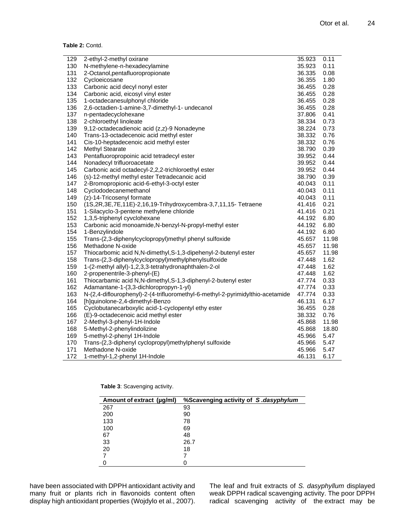**Table 2:** Contd.

| 129 | 2-ethyl-2-methyl oxirane                                                       | 35.923           | 0.11  |
|-----|--------------------------------------------------------------------------------|------------------|-------|
| 130 | N-methylene-n-hexadecylamine                                                   | 35.923<br>36.335 | 0.11  |
| 131 | 2-Octanol, pentafluoropropionate                                               |                  | 0.08  |
| 132 | Cycloeicosane                                                                  | 36.355           | 1.80  |
| 133 | Carbonic acid decyl nonyl ester                                                |                  | 0.28  |
| 134 | Carbonic acid, eicosyl vinyl ester                                             |                  | 0.28  |
| 135 | 1-octadecanesulphonyl chloride                                                 | 36.455           | 0.28  |
| 136 | 2,6-octadien-1-amine-3,7-dimethyl-1- undecanol                                 | 36.455           | 0.28  |
| 137 | n-pentadecyclohexane                                                           | 37.806           | 0.41  |
| 138 | 2-chloroethyl linoleate                                                        | 38.334           | 0.73  |
| 139 | 9,12-octadecadienoic acid (z,z)-9 Nonadeyne                                    | 38.224           | 0.73  |
| 140 | Trans-13-octadecenoic acid methyl ester                                        | 38.332           | 0.76  |
| 141 | Cis-10-heptadecenoic acid methyl ester                                         | 38.332           | 0.76  |
| 142 | Methyl Stearate                                                                | 38.790           | 0.39  |
| 143 | Pentafluoropropoinic acid tetradecyl ester                                     | 39.952           | 0.44  |
| 144 | Nonadecyl trifluoroacetate                                                     | 39.952           | 0.44  |
| 145 | Carbonic acid octadecyl-2,2,2-trichloroethyl ester                             | 39.952           | 0.44  |
| 146 | (s)-12-methyl methyl ester Tetradecanoic acid                                  | 38.790           | 0.39  |
| 147 | 2-Bromopropionic acid-6-ethyl-3-octyl ester                                    | 40.043           | 0.11  |
| 148 | Cyclododecanemethanol                                                          | 40.043           | 0.11  |
| 149 | (z)-14-Tricosenyl formate                                                      | 40.043           | 0.11  |
| 150 | (1S,2R,3E,7E,11E)-2,16,19-Trihydroxycembra-3,7,11,15-Tetraene                  | 41.416           | 0.21  |
| 151 | 1-Silacyclo-3-pentene methylene chloride                                       | 41.416           | 0.21  |
| 152 | 1,3,5-triphenyl cyvclohexane                                                   | 44.192           | 6.80  |
| 153 | Carbonic acid monoamide, N-benzyl-N-propyl-methyl ester                        | 44.192           | 6.80  |
| 154 | 1-Benzylindole                                                                 | 44.192           | 6.80  |
| 155 | Trans-(2,3-diphenylcyclopropyl)methyl phenyl sulfoxide                         | 45.657           | 11.98 |
| 156 | Methadone N-oxide                                                              | 45.657           | 11.98 |
| 157 | Thiocarbomic acid N,N-dimethyl,S-1,3-dipehenyl-2-butenyl ester                 | 45.657           | 11.98 |
| 158 | Trans-(2,3-diphenylcyclopropyl)methylphenylsulfoxide                           | 47.448           | 1.62  |
| 159 | 1-(2-methyl allyl)-1,2,3,3-tetrahydronaphthalen-2-ol                           | 47.448           | 1.62  |
| 160 | 2-propenentrile-3-phenyl-(E)                                                   | 47.448           | 1.62  |
| 161 | Thiocarbamic acid N,N-dimethyl,S-1,3-diphenyl-2-butenyl ester                  | 47.774           | 0.33  |
| 162 | Adamantane-1-(3,3-dichloropropyn-1-yl)                                         | 47.774           | 0.33  |
| 163 | N-(2,4-diflourophenyl)-2-(4-trifluoromethyl-6-methyl-2-pyrimidylthio-acetamide | 47.774           | 0.33  |
| 164 | [h]quinolone-2,4-dimethyl-Benzo                                                | 46.131           | 6.17  |
| 165 | Cyclobutanecarboxylic acid-1-cyclopentyl ethy ester                            | 36.455           | 0.28  |
| 166 | (E)-9-octadecenoic acid methyl ester                                           | 38.332           | 0.76  |
| 167 | 2-Methyl-3-phenyl-1H-Indole                                                    | 45.868           | 11.98 |
| 168 | 5-Methyl-2-phenylindolizine                                                    | 45.868           | 18.80 |
| 169 | 5-methyl-2-phenyl 1H-Indole                                                    | 45.966           | 5.47  |
| 170 | Trans-(2,3-diphenyl cyclopropyl)methylphenyl sulfoxide                         | 45.966           | 5.47  |
| 171 | Methadone N-oxide                                                              | 45.966           | 5.47  |
| 172 | 1-methyl-1,2-phenyl 1H-Indole                                                  | 46.131           | 6.17  |
|     |                                                                                |                  |       |

|  | Table 3: Scavenging activity. |  |
|--|-------------------------------|--|
|--|-------------------------------|--|

| Amount of extract (µg/ml) | %Scavenging activity of S.dasyphylum |
|---------------------------|--------------------------------------|
| 267                       | 93                                   |
| 200                       | 90                                   |
| 133                       | 78                                   |
| 100                       | 69                                   |
| 67                        | 48                                   |
| 33                        | 26.7                                 |
| 20                        | 18                                   |
|                           |                                      |
|                           |                                      |

have been associated with DPPH antioxidant activity and many fruit or plants rich in flavonoids content often display high antioxidant properties (Wojdylo et al., 2007).

The leaf and fruit extracts of *S. dasyphyllum* displayed weak DPPH radical scavenging activity. The poor DPPH radical scavenging activity of the extract may be